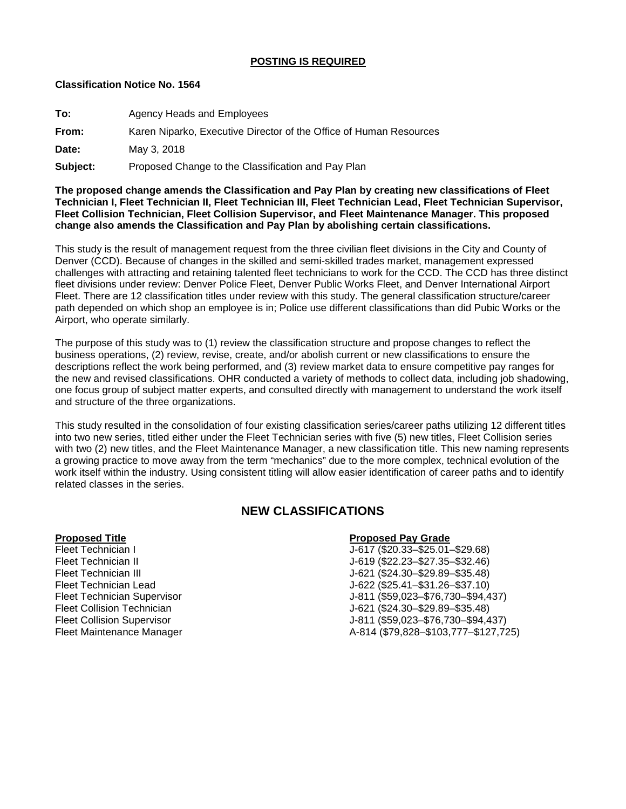## **POSTING IS REQUIRED**

## **Classification Notice No. 1564**

**To:** Agency Heads and Employees

**From:** Karen Niparko, Executive Director of the Office of Human Resources

**Date:** May 3, 2018

**Subject:** Proposed Change to the Classification and Pay Plan

**The proposed change amends the Classification and Pay Plan by creating new classifications of Fleet Technician I, Fleet Technician II, Fleet Technician III, Fleet Technician Lead, Fleet Technician Supervisor, Fleet Collision Technician, Fleet Collision Supervisor, and Fleet Maintenance Manager. This proposed change also amends the Classification and Pay Plan by abolishing certain classifications.**

This study is the result of management request from the three civilian fleet divisions in the City and County of Denver (CCD). Because of changes in the skilled and semi-skilled trades market, management expressed challenges with attracting and retaining talented fleet technicians to work for the CCD. The CCD has three distinct fleet divisions under review: Denver Police Fleet, Denver Public Works Fleet, and Denver International Airport Fleet. There are 12 classification titles under review with this study. The general classification structure/career path depended on which shop an employee is in; Police use different classifications than did Pubic Works or the Airport, who operate similarly.

The purpose of this study was to (1) review the classification structure and propose changes to reflect the business operations, (2) review, revise, create, and/or abolish current or new classifications to ensure the descriptions reflect the work being performed, and (3) review market data to ensure competitive pay ranges for the new and revised classifications. OHR conducted a variety of methods to collect data, including job shadowing, one focus group of subject matter experts, and consulted directly with management to understand the work itself and structure of the three organizations.

This study resulted in the consolidation of four existing classification series/career paths utilizing 12 different titles into two new series, titled either under the Fleet Technician series with five (5) new titles, Fleet Collision series with two (2) new titles, and the Fleet Maintenance Manager, a new classification title. This new naming represents a growing practice to move away from the term "mechanics" due to the more complex, technical evolution of the work itself within the industry. Using consistent titling will allow easier identification of career paths and to identify related classes in the series.

# **NEW CLASSIFICATIONS**

# **Proposed Title Proposed Pay Grade**

J-617 (\$20.33–\$25.01–\$29.68) Fleet Technician II J-619 (\$22.23–\$27.35–\$32.46) Fleet Technician III J-621 (\$24.30–\$29.89–\$35.48) J-622 (\$25.41–\$31.26–\$37.10) Fleet Technician Supervisor J-811 (\$59,023–\$76,730–\$94,437) J-621 (\$24.30–\$29.89–\$35.48) Fleet Collision Supervisor J-811 (\$59,023–\$76,730–\$94,437) Fleet Maintenance Manager A-814 (\$79,828–\$103,777–\$127,725)